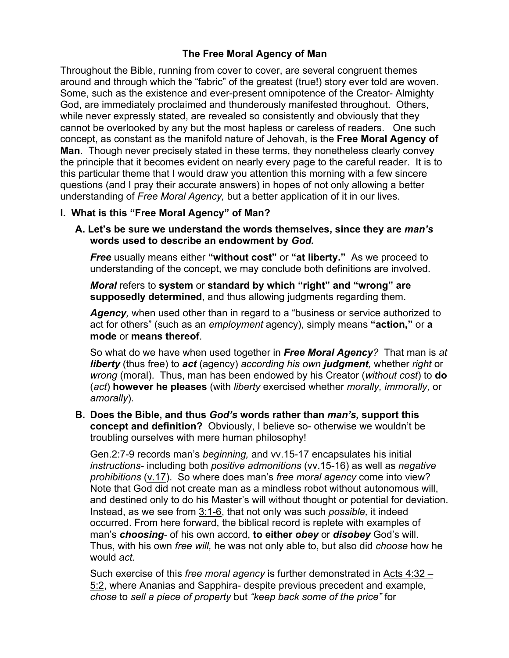# **The Free Moral Agency of Man**

Throughout the Bible, running from cover to cover, are several congruent themes around and through which the "fabric" of the greatest (true!) story ever told are woven. Some, such as the existence and ever-present omnipotence of the Creator- Almighty God, are immediately proclaimed and thunderously manifested throughout. Others, while never expressly stated, are revealed so consistently and obviously that they cannot be overlooked by any but the most hapless or careless of readers. One such concept, as constant as the manifold nature of Jehovah, is the **Free Moral Agency of Man**. Though never precisely stated in these terms, they nonetheless clearly convey the principle that it becomes evident on nearly every page to the careful reader. It is to this particular theme that I would draw you attention this morning with a few sincere questions (and I pray their accurate answers) in hopes of not only allowing a better understanding of *Free Moral Agency,* but a better application of it in our lives.

# **I. What is this "Free Moral Agency" of Man?**

**A. Let's be sure we understand the words themselves, since they are** *man's*  **words used to describe an endowment by** *God.* 

*Free* usually means either **"without cost"** or **"at liberty."** As we proceed to understanding of the concept, we may conclude both definitions are involved.

*Moral* refers to **system** or **standard by which "right" and "wrong" are supposedly determined**, and thus allowing judgments regarding them.

*Agency,* when used other than in regard to a "business or service authorized to act for others" (such as an *employment* agency), simply means **"action,"** or **a mode** or **means thereof**.

So what do we have when used together in *Free Moral Agency?* That man is *at liberty* (thus free) to *act* (agency) *according his own judgment,* whether *right* or *wrong* (moral). Thus, man has been endowed by his Creator (*without cost*) to **do** (*act*) **however he pleases** (with *liberty* exercised whether *morally, immorally,* or *amorally*).

**B. Does the Bible, and thus** *God's* **words rather than** *man's,* **support this concept and definition?** Obviously, I believe so- otherwise we wouldn't be troubling ourselves with mere human philosophy!

Gen.2:7-9 records man's *beginning,* and vv.15-17 encapsulates his initial *instructions-* including both *positive admonitions* (vv.15-16) as well as *negative prohibitions* (v.17). So where does man's *free moral agency* come into view? Note that God did not create man as a mindless robot without autonomous will, and destined only to do his Master's will without thought or potential for deviation. Instead, as we see from 3:1-6, that not only was such *possible,* it indeed occurred. From here forward, the biblical record is replete with examples of man's *choosing-* of his own accord, **to either** *obey* or *disobey* God's will. Thus, with his own *free will,* he was not only able to, but also did *choose* how he would *act.* 

Such exercise of this *free moral agency* is further demonstrated in Acts 4:32 – 5:2, where Ananias and Sapphira- despite previous precedent and example, *chose* to *sell a piece of property* but *"keep back some of the price"* for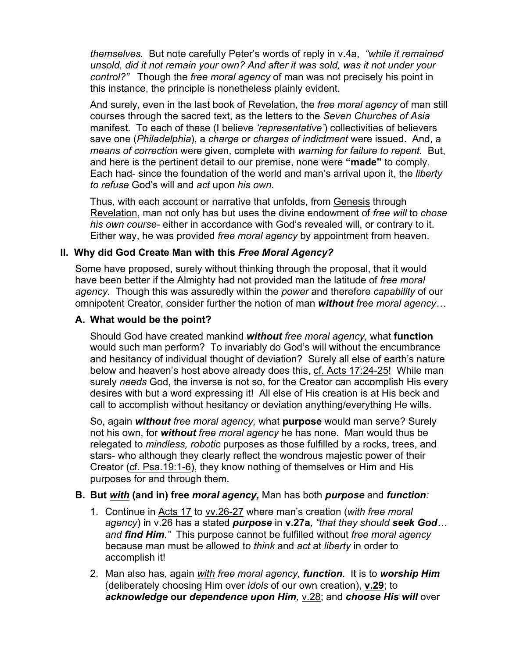*themselves.* But note carefully Peter's words of reply in v.4a, *"while it remained unsold, did it not remain your own? And after it was sold, was it not under your control?"* Though the *free moral agency* of man was not precisely his point in this instance, the principle is nonetheless plainly evident.

And surely, even in the last book of Revelation, the *free moral agency* of man still courses through the sacred text, as the letters to the *Seven Churches of Asia*  manifest. To each of these (I believe *'representative'*) collectivities of believers save one (*Philadelphia*), a *charge* or *charges of indictment* were issued. And, a *means of correction* were given, complete with *warning for failure to repent.* But, and here is the pertinent detail to our premise, none were **"made"** to comply. Each had- since the foundation of the world and man's arrival upon it, the *liberty to refuse* God's will and *act* upon *his own.* 

Thus, with each account or narrative that unfolds, from Genesis through Revelation, man not only has but uses the divine endowment of *free will* to *chose his own course*- either in accordance with God's revealed will, or contrary to it. Either way, he was provided *free moral agency* by appointment from heaven.

# **II. Why did God Create Man with this** *Free Moral Agency?*

Some have proposed, surely without thinking through the proposal, that it would have been better if the Almighty had not provided man the latitude of *free moral agency.* Though this was assuredly within the *power* and therefore *capability* of our omnipotent Creator, consider further the notion of man *without free moral agency…*

## **A. What would be the point?**

Should God have created mankind *without free moral agency,* what **function** would such man perform? To invariably do God's will without the encumbrance and hesitancy of individual thought of deviation? Surely all else of earth's nature below and heaven's host above already does this, cf. Acts 17:24-25! While man surely *needs* God, the inverse is not so, for the Creator can accomplish His every desires with but a word expressing it! All else of His creation is at His beck and call to accomplish without hesitancy or deviation anything/everything He wills.

So, again *without free moral agency,* what **purpose** would man serve? Surely not his own, for *without free moral agency* he has none. Man would thus be relegated to *mindless, robotic* purposes as those fulfilled by a rocks, trees, and stars- who although they clearly reflect the wondrous majestic power of their Creator (cf. Psa.19:1-6), they know nothing of themselves or Him and His purposes for and through them.

## **B. But** *with* **(and in) free** *moral agency,* Man has both *purpose* and *function:*

- 1. Continue in Acts 17 to vv.26-27 where man's creation (*with free moral agency*) in v.26 has a stated *purpose* in **v.27a**, *"that they should seek God… and find Him."* This purpose cannot be fulfilled without *free moral agency*  because man must be allowed to *think* and *act* at *liberty* in order to accomplish it!
- 2. Man also has, again *with free moral agency, function*. It is to *worship Him* (deliberately choosing Him over *idols* of our own creation), **v.29**; to *acknowledge* **our** *dependence upon Him,* v.28; and *choose His will* over